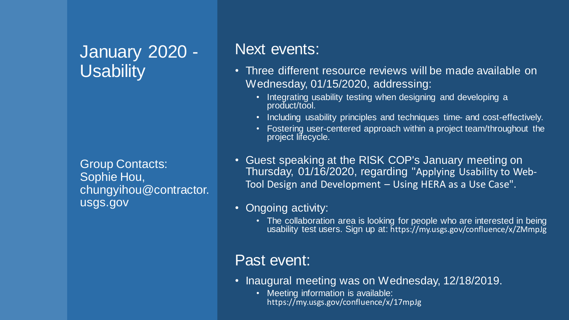## January 2020 - **Usability**

Group Contacts: Sophie Hou, chungyihou@contractor. usgs.gov

### Next events:

- Three different resource reviews will be made available on Wednesday, 01/15/2020, addressing:
	- Integrating usability testing when designing and developing a product/tool.
	- Including usability principles and techniques time- and cost-effectively.
	- Fostering user-centered approach within a project team/throughout the project lifecycle.
- Guest speaking at the RISK COP's January meeting on Thursday, 01/16/2020, regarding "Applying Usability to Web-Tool Design and Development – Using HERA as a Use Case".

#### • Ongoing activity:

• The collaboration area is looking for people who are interested in being usability test users. Sign up at: https://my.usgs.gov/confluence/x/ZMmpJg

### Past event:

- Inaugural meeting was on Wednesday, 12/18/2019.
	- Meeting information is available: https://my.usgs.gov/confluence/x/17mpJg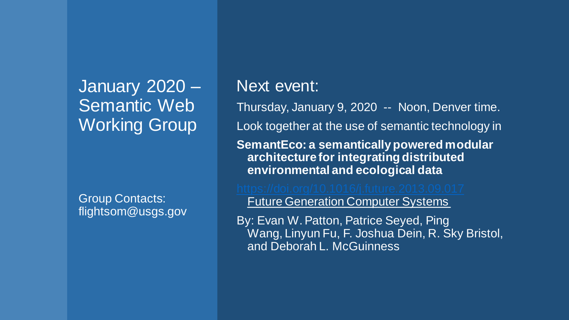# January 2020 – Semantic Web Working Group

Group Contacts: flightsom@usgs.gov Next event:

Thursday, January 9, 2020 -- Noon, Denver time.

Look together at the use of semantic technology in

**SemantEco: a semantically powered modular architecture for integrating distributed environmental and ecological data**

Future Generation Computer Systems

By: Evan W. Patton, Patrice Seyed, Ping Wang, Linyun Fu, F. Joshua Dein, R. Sky Bristol, and Deborah L. McGuinness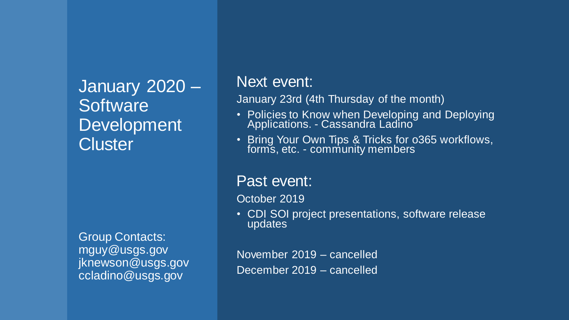January 2020 – **Software Development Cluster** 

Group Contacts: mguy@usgs.gov jknewson@usgs.gov ccladino@usgs.gov

#### Next event:

January 23rd (4th Thursday of the month)

- Policies to Know when Developing and Deploying Applications. - Cassandra Ladino
- Bring Your Own Tips & Tricks for o365 workflows, forms, etc. - community members

### Past event:

October 2019

• CDI SOI project presentations, software release updates

November 2019 – cancelled December 2019 – cancelled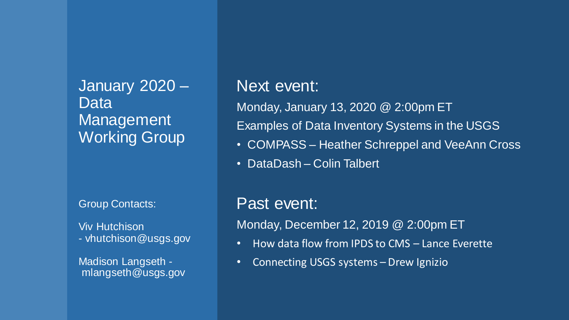January 2020 – **Data Management** Working Group

Group Contacts:

Viv Hutchison - vhutchison@usgs.gov

Madison Langseth mlangseth@usgs.gov

### Next event:

Monday, January 13, 2020 @ 2:00pm ET

Examples of Data Inventory Systems in the USGS

- COMPASS Heather Schreppel and VeeAnn Cross
- DataDash Colin Talbert

## Past event:

Monday, December 12, 2019 @ 2:00pm ET

- How data flow from IPDS to CMS Lance Everette
- Connecting USGS systems Drew Ignizio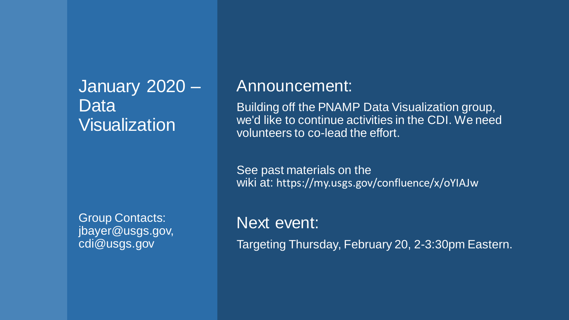## January 2020 – **Data Visualization**

Group Contacts: jbayer@usgs.gov, cdi@usgs.gov

#### Announcement:

Building off the PNAMP Data Visualization group, we'd like to continue activities in the CDI. We need volunteers to co-lead the effort.

See past materials on the wiki at: https://my.usgs.gov/confluence/x/oYIAJw

Next event: Targeting Thursday, February 20, 2-3:30pm Eastern.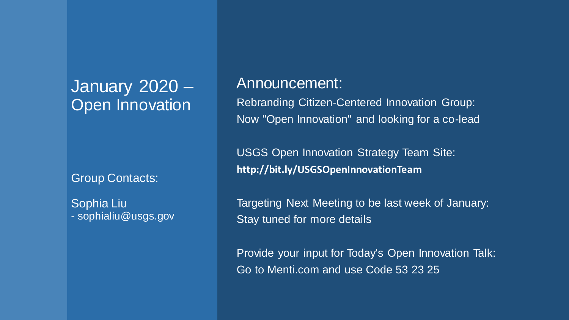## January 2020 – Open Innovation

Group Contacts:

Sophia Liu - sophialiu@usgs.gov

#### Announcement:

Rebranding Citizen-Centered Innovation Group: Now "Open Innovation" and looking for a co-lead

USGS Open Innovation Strategy Team Site: **http://bit.ly/USGSOpenInnovationTeam**

Targeting Next Meeting to be last week of January: Stay tuned for more details

Provide your input for Today's Open Innovation Talk: Go to Menti.com and use Code 53 23 25